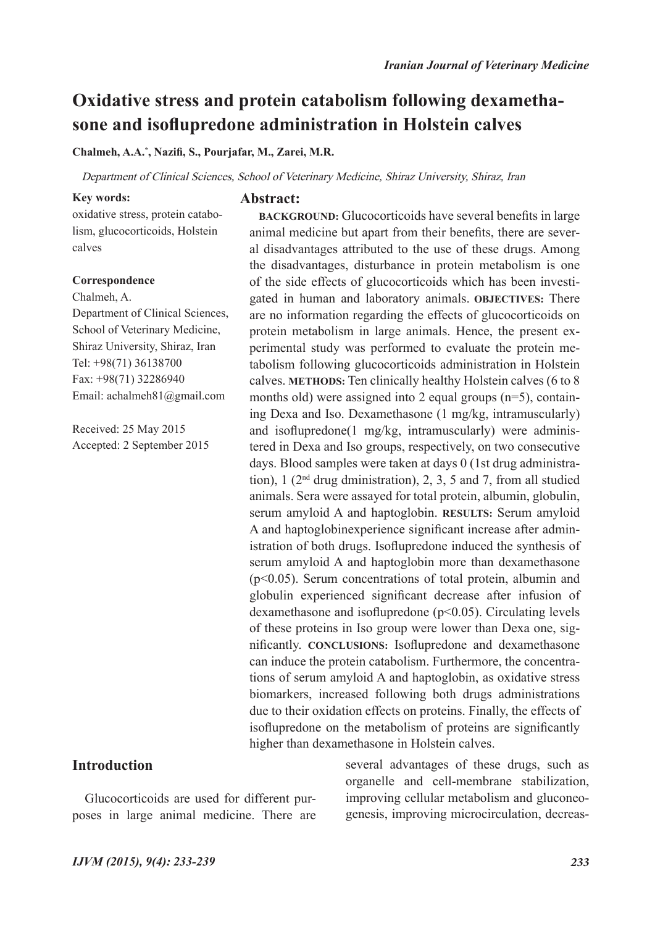# **Oxidative stress and protein catabolism following dexamethasone and isoflupredone administration in Holstein calves**

#### **Chalmeh, A.A.\* , Nazifi, S., Pourjafar, M., Zarei, M.R.**

Department of Clinical Sciences, School of Veterinary Medicine, Shiraz University, Shiraz, Iran

#### **Key words:**

# **Abstract:**

oxidative stress, protein catabolism, glucocorticoids, Holstein calves

### **Correspondence**

Chalmeh, A. Department of Clinical Sciences, School of Veterinary Medicine, Shiraz University, Shiraz, Iran Tel: +98(71) 36138700 Fax: +98(71) 32286940 Email: achalmeh81@gmail.com

Received: 25 May 2015 Accepted: 2 September 2015

# **Introduction**

Glucocorticoids are used for different purposes in large animal medicine. There are

**BACKGROUND:** Glucocorticoids have several benefits in large animal medicine but apart from their benefits, there are several disadvantages attributed to the use of these drugs. Among the disadvantages, disturbance in protein metabolism is one of the side effects of glucocorticoids which has been investigated in human and laboratory animals. **OBJECTIVES:** There are no information regarding the effects of glucocorticoids on protein metabolism in large animals. Hence, the present experimental study was performed to evaluate the protein metabolism following glucocorticoids administration in Holstein calves. **METHODS:** Ten clinically healthy Holstein calves (6 to 8 months old) were assigned into 2 equal groups (n=5), containing Dexa and Iso. Dexamethasone (1 mg/kg, intramuscularly) and isoflupredone(1 mg/kg, intramuscularly) were administered in Dexa and Iso groups, respectively, on two consecutive days. Blood samples were taken at days 0 (1st drug administration),  $1(2<sup>nd</sup> drug$  drug dministration), 2, 3, 5 and 7, from all studied animals. Sera were assayed for total protein, albumin, globulin, serum amyloid A and haptoglobin. **RESULTS:** Serum amyloid A and haptoglobinexperience significant increase after administration of both drugs. Isoflupredone induced the synthesis of serum amyloid A and haptoglobin more than dexamethasone (p<0.05). Serum concentrations of total protein, albumin and globulin experienced significant decrease after infusion of dexamethasone and isoflupredone (p<0.05). Circulating levels of these proteins in Iso group were lower than Dexa one, significantly. **CONCLUSIONS:** Isoflupredone and dexamethasone can induce the protein catabolism. Furthermore, the concentrations of serum amyloid A and haptoglobin, as oxidative stress biomarkers, increased following both drugs administrations due to their oxidation effects on proteins. Finally, the effects of isoflupredone on the metabolism of proteins are significantly higher than dexamethasone in Holstein calves.

> several advantages of these drugs, such as organelle and cell-membrane stabilization, improving cellular metabolism and gluconeogenesis, improving microcirculation, decreas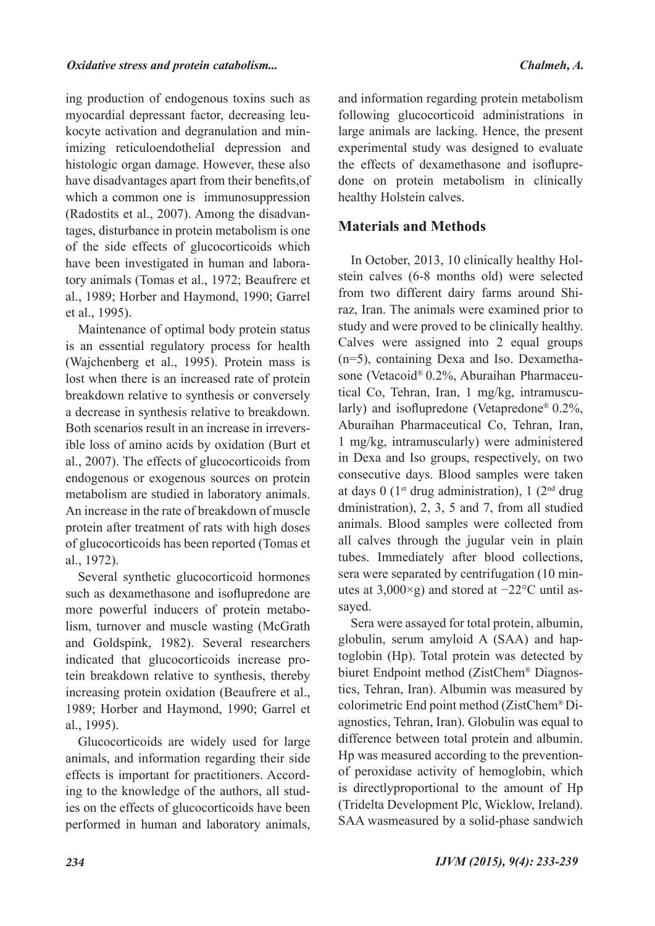*Oxidative stress and protein catabolism... Chalmeh, A.*

ing production of endogenous toxins such as myocardial depressant factor, decreasing leukocyte activation and degranulation and minimizing reticuloendothelial depression and histologic organ damage. However, these also have disadvantages apart from their benefits,of which a common one is immunosuppression (Radostits et al., 2007). Among the disadvantages, disturbance in protein metabolism is one of the side effects of glucocorticoids which have been investigated in human and laboratory animals (Tomas et al., 1972; Beaufrere et al., 1989; Horber and Haymond, 1990; Garrel et al., 1995).

Maintenance of optimal body protein status is an essential regulatory process for health (Wajchenberg et al., 1995). Protein mass is lost when there is an increased rate of protein breakdown relative to synthesis or conversely a decrease in synthesis relative to breakdown. Both scenarios result in an increase in irreversible loss of amino acids by oxidation (Burt et al., 2007). The effects of glucocorticoids from endogenous or exogenous sources on protein metabolism are studied in laboratory animals. An increase in the rate of breakdown of muscle protein after treatment of rats with high doses of glucocorticoids has been reported (Tomas et al., 1972).

Several synthetic glucocorticoid hormones such as dexamethasone and isoflupredone are more powerful inducers of protein metabolism, turnover and muscle wasting (McGrath and Goldspink, 1982). Several researchers indicated that glucocorticoids increase protein breakdown relative to synthesis, thereby increasing protein oxidation (Beaufrere et al., 1989; Horber and Haymond, 1990; Garrel et al., 1995).

Glucocorticoids are widely used for large animals, and information regarding their side effects is important for practitioners. According to the knowledge of the authors, all studies on the effects of glucocorticoids have been performed in human and laboratory animals, and information regarding protein metabolism following glucocorticoid administrations in large animals are lacking. Hence, the present experimental study was designed to evaluate the effects of dexamethasone and isoflupredone on protein metabolism in clinically healthy Holstein calves.

# **Materials and Methods**

In October, 2013, 10 clinically healthy Holstein calves (6-8 months old) were selected from two different dairy farms around Shiraz, Iran. The animals were examined prior to study and were proved to be clinically healthy. Calves were assigned into 2 equal groups (n=5), containing Dexa and Iso. Dexamethasone (Vetacoid® 0.2%, Aburaihan Pharmaceutical Co, Tehran, Iran, 1 mg/kg, intramuscularly) and isoflupredone (Vetapredone® 0.2%, Aburaihan Pharmaceutical Co, Tehran, Iran, 1 mg/kg, intramuscularly) were administered in Dexa and Iso groups, respectively, on two consecutive days. Blood samples were taken at days 0 (1<sup>st</sup> drug administration), 1 (2<sup>nd</sup> drug dministration), 2, 3, 5 and 7, from all studied animals. Blood samples were collected from all calves through the jugular vein in plain tubes. Immediately after blood collections, sera were separated by centrifugation (10 minutes at 3,000×g) and stored at −22°C until assayed.

Sera were assayed for total protein, albumin, globulin, serum amyloid A (SAA) and haptoglobin (Hp). Total protein was detected by biuret Endpoint method (ZistChem® Diagnostics, Tehran, Iran). Albumin was measured by colorimetric End point method (ZistChem® Diagnostics, Tehran, Iran). Globulin was equal to difference between total protein and albumin. Hp was measured according to the preventionof peroxidase activity of hemoglobin, which is directlyproportional to the amount of Hp (Tridelta Development Plc, Wicklow, Ireland). SAA wasmeasured by a solid-phase sandwich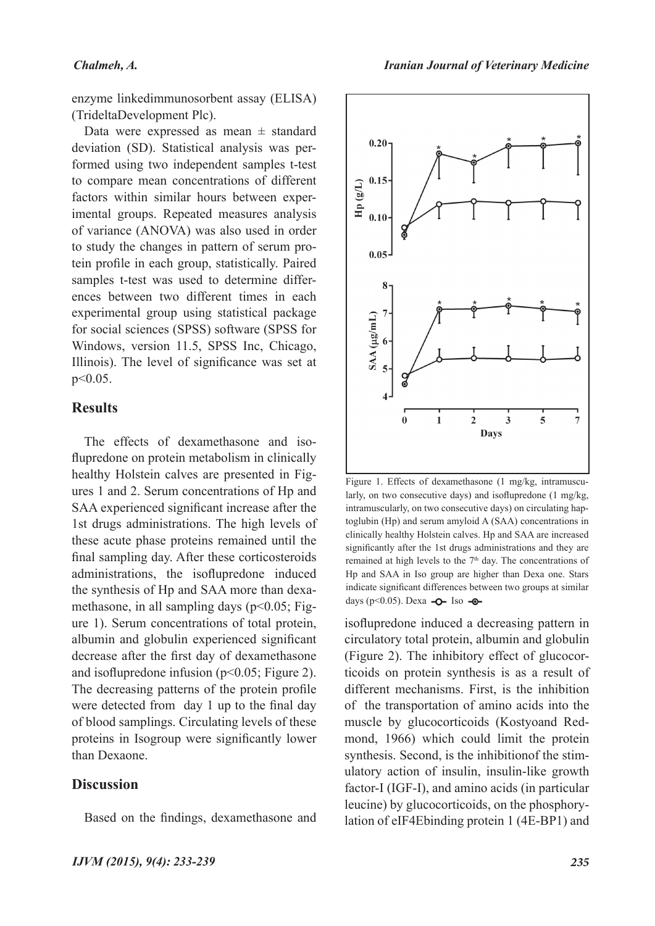#### *Chalmeh, A.*

enzyme linkedimmunosorbent assay (ELISA) (TrideltaDevelopment Plc).

Data were expressed as mean ± standard deviation (SD). Statistical analysis was performed using two independent samples t-test to compare mean concentrations of different factors within similar hours between experimental groups. Repeated measures analysis of variance (ANOVA) was also used in order to study the changes in pattern of serum protein profile in each group, statistically. Paired samples t-test was used to determine differences between two different times in each experimental group using statistical package for social sciences (SPSS) software (SPSS for Windows, version 11.5, SPSS Inc, Chicago, Illinois). The level of significance was set at p<0.05.

## **Results**

The effects of dexamethasone and isoflupredone on protein metabolism in clinically healthy Holstein calves are presented in Figures 1 and 2. Serum concentrations of Hp and SAA experienced significant increase after the 1st drugs administrations. The high levels of these acute phase proteins remained until the final sampling day. After these corticosteroids administrations, the isoflupredone induced the synthesis of Hp and SAA more than dexamethasone, in all sampling days ( $p<0.05$ ; Figure 1). Serum concentrations of total protein, albumin and globulin experienced significant decrease after the first day of dexamethasone and isoflupredone infusion (p<0.05; Figure 2). The decreasing patterns of the protein profile were detected from day 1 up to the final day of blood samplings. Circulating levels of these proteins in Isogroup were significantly lower than Dexaone.

## **Discussion**

Based on the findings, dexamethasone and



Figure 1. Effects of dexamethasone (1 mg/kg, intramuscularly, on two consecutive days) and isoflupredone (1 mg/kg, intramuscularly, on two consecutive days) on circulating haptoglubin (Hp) and serum amyloid A (SAA) concentrations in clinically healthy Holstein calves. Hp and SAA are increased significantly after the 1st drugs administrations and they are remained at high levels to the  $7<sup>th</sup>$  day. The concentrations of Hp and SAA in Iso group are higher than Dexa one. Stars indicate significant differences between two groups at similar days ( $p<0.05$ ). Dexa  $-\degree$  Iso  $-\degree$ 

isoflupredone induced a decreasing pattern in circulatory total protein, albumin and globulin (Figure 2). The inhibitory effect of glucocorticoids on protein synthesis is as a result of different mechanisms. First, is the inhibition of the transportation of amino acids into the muscle by glucocorticoids (Kostyoand Redmond, 1966) which could limit the protein synthesis. Second, is the inhibitionof the stimulatory action of insulin, insulin-like growth factor-I (IGF-I), and amino acids (in particular leucine) by glucocorticoids, on the phosphorylation of eIF4Ebinding protein 1 (4E-BP1) and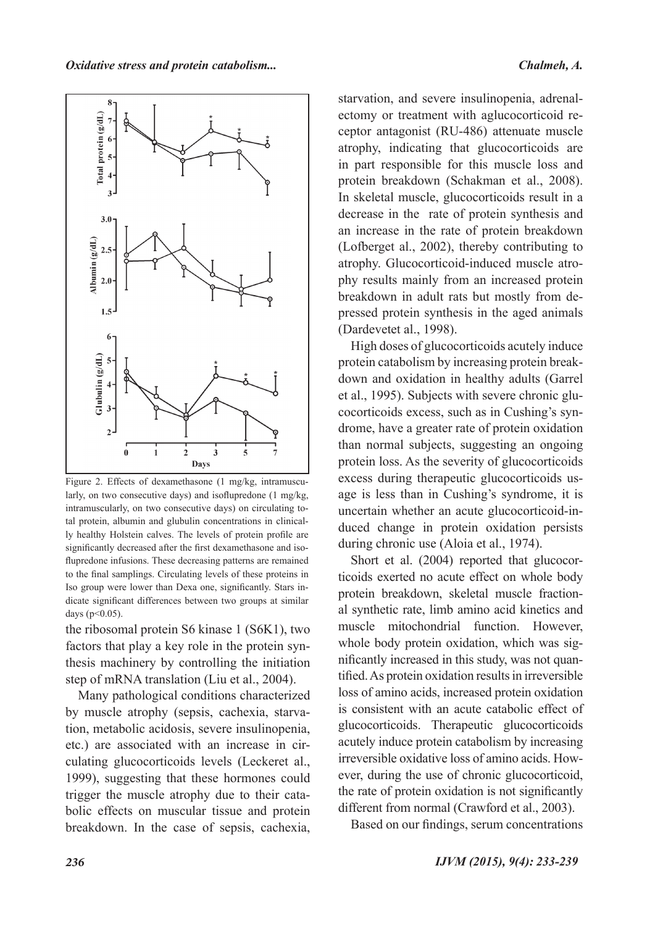

Figure 2. Effects of dexamethasone (1 mg/kg, intramuscularly, on two consecutive days) and isoflupredone (1 mg/kg, intramuscularly, on two consecutive days) on circulating total protein, albumin and glubulin concentrations in clinically healthy Holstein calves. The levels of protein profile are significantly decreased after the first dexamethasone and isoflupredone infusions. These decreasing patterns are remained to the final samplings. Circulating levels of these proteins in Iso group were lower than Dexa one, significantly. Stars indicate significant differences between two groups at similar days ( $p<0.05$ ).

the ribosomal protein S6 kinase 1 (S6K1), two factors that play a key role in the protein synthesis machinery by controlling the initiation step of mRNA translation (Liu et al., 2004).

Many pathological conditions characterized by muscle atrophy (sepsis, cachexia, starvation, metabolic acidosis, severe insulinopenia, etc.) are associated with an increase in circulating glucocorticoids levels (Leckeret al., 1999), suggesting that these hormones could trigger the muscle atrophy due to their catabolic effects on muscular tissue and protein breakdown. In the case of sepsis, cachexia,

starvation, and severe insulinopenia, adrenalectomy or treatment with aglucocorticoid receptor antagonist (RU-486) attenuate muscle atrophy, indicating that glucocorticoids are in part responsible for this muscle loss and protein breakdown (Schakman et al., 2008). In skeletal muscle, glucocorticoids result in a decrease in the rate of protein synthesis and an increase in the rate of protein breakdown (Lofberget al., 2002), thereby contributing to atrophy. Glucocorticoid-induced muscle atrophy results mainly from an increased protein breakdown in adult rats but mostly from depressed protein synthesis in the aged animals (Dardevetet al., 1998).

High doses of glucocorticoids acutely induce protein catabolism by increasing protein breakdown and oxidation in healthy adults (Garrel et al., 1995). Subjects with severe chronic glucocorticoids excess, such as in Cushing's syndrome, have a greater rate of protein oxidation than normal subjects, suggesting an ongoing protein loss. As the severity of glucocorticoids excess during therapeutic glucocorticoids usage is less than in Cushing's syndrome, it is uncertain whether an acute glucocorticoid-induced change in protein oxidation persists during chronic use (Aloia et al., 1974).

Short et al. (2004) reported that glucocorticoids exerted no acute effect on whole body protein breakdown, skeletal muscle fractional synthetic rate, limb amino acid kinetics and muscle mitochondrial function. However, whole body protein oxidation, which was significantly increased in this study, was not quantified. As protein oxidation results in irreversible loss of amino acids, increased protein oxidation is consistent with an acute catabolic effect of glucocorticoids. Therapeutic glucocorticoids acutely induce protein catabolism by increasing irreversible oxidative loss of amino acids. However, during the use of chronic glucocorticoid, the rate of protein oxidation is not significantly different from normal (Crawford et al., 2003).

Based on our findings, serum concentrations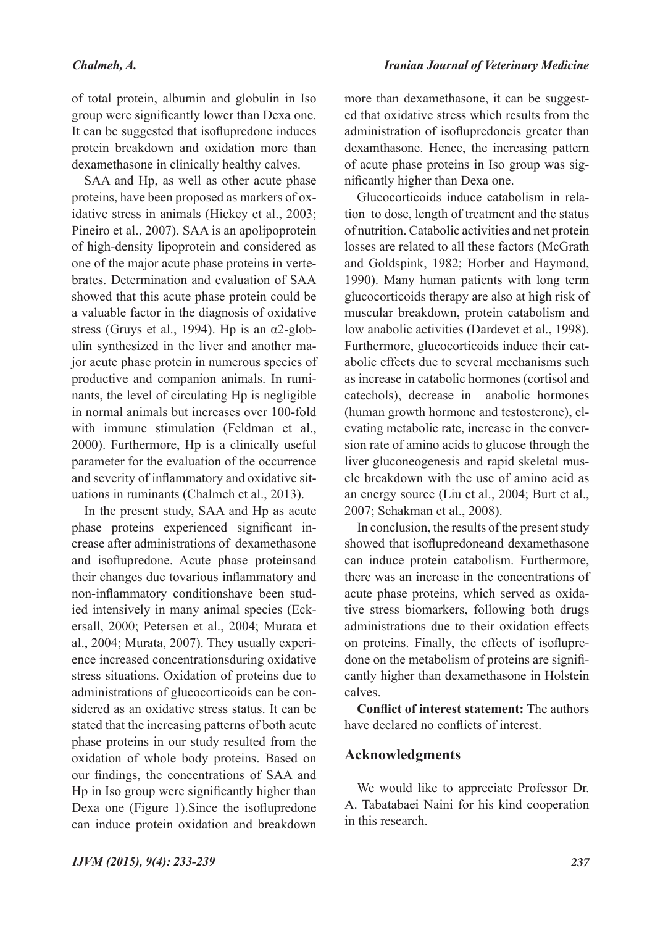of total protein, albumin and globulin in Iso group were significantly lower than Dexa one. It can be suggested that isoflupredone induces protein breakdown and oxidation more than dexamethasone in clinically healthy calves.

SAA and Hp, as well as other acute phase proteins, have been proposed as markers of oxidative stress in animals (Hickey et al., 2003; Pineiro et al., 2007). SAA is an apolipoprotein of high-density lipoprotein and considered as one of the major acute phase proteins in vertebrates. Determination and evaluation of SAA showed that this acute phase protein could be a valuable factor in the diagnosis of oxidative stress (Gruys et al., 1994). Hp is an α2-globulin synthesized in the liver and another major acute phase protein in numerous species of productive and companion animals. In ruminants, the level of circulating Hp is negligible in normal animals but increases over 100-fold with immune stimulation (Feldman et al., 2000). Furthermore, Hp is a clinically useful parameter for the evaluation of the occurrence and severity of inflammatory and oxidative situations in ruminants (Chalmeh et al., 2013).

In the present study, SAA and Hp as acute phase proteins experienced significant increase after administrations of dexamethasone and isoflupredone. Acute phase proteinsand their changes due tovarious inflammatory and non-inflammatory conditionshave been studied intensively in many animal species (Eckersall, 2000; Petersen et al., 2004; Murata et al., 2004; Murata, 2007). They usually experience increased concentrationsduring oxidative stress situations. Oxidation of proteins due to administrations of glucocorticoids can be considered as an oxidative stress status. It can be stated that the increasing patterns of both acute phase proteins in our study resulted from the oxidation of whole body proteins. Based on our findings, the concentrations of SAA and Hp in Iso group were significantly higher than Dexa one (Figure 1).Since the isoflupredone can induce protein oxidation and breakdown

more than dexamethasone, it can be suggested that oxidative stress which results from the administration of isoflupredoneis greater than dexamthasone. Hence, the increasing pattern of acute phase proteins in Iso group was significantly higher than Dexa one.

Glucocorticoids induce catabolism in relation to dose, length of treatment and the status of nutrition. Catabolic activities and net protein losses are related to all these factors (McGrath and Goldspink, 1982; Horber and Haymond, 1990). Many human patients with long term glucocorticoids therapy are also at high risk of muscular breakdown, protein catabolism and low anabolic activities (Dardevet et al., 1998). Furthermore, glucocorticoids induce their catabolic effects due to several mechanisms such as increase in catabolic hormones (cortisol and catechols), decrease in anabolic hormones (human growth hormone and testosterone), elevating metabolic rate, increase in the conversion rate of amino acids to glucose through the liver gluconeogenesis and rapid skeletal muscle breakdown with the use of amino acid as an energy source (Liu et al., 2004; Burt et al., 2007; Schakman et al., 2008).

In conclusion, the results of the present study showed that isoflupredoneand dexamethasone can induce protein catabolism. Furthermore, there was an increase in the concentrations of acute phase proteins, which served as oxidative stress biomarkers, following both drugs administrations due to their oxidation effects on proteins. Finally, the effects of isoflupredone on the metabolism of proteins are significantly higher than dexamethasone in Holstein calves.

**Conflict of interest statement:** The authors have declared no conflicts of interest.

# **Acknowledgments**

We would like to appreciate Professor Dr. A. Tabatabaei Naini for his kind cooperation in this research.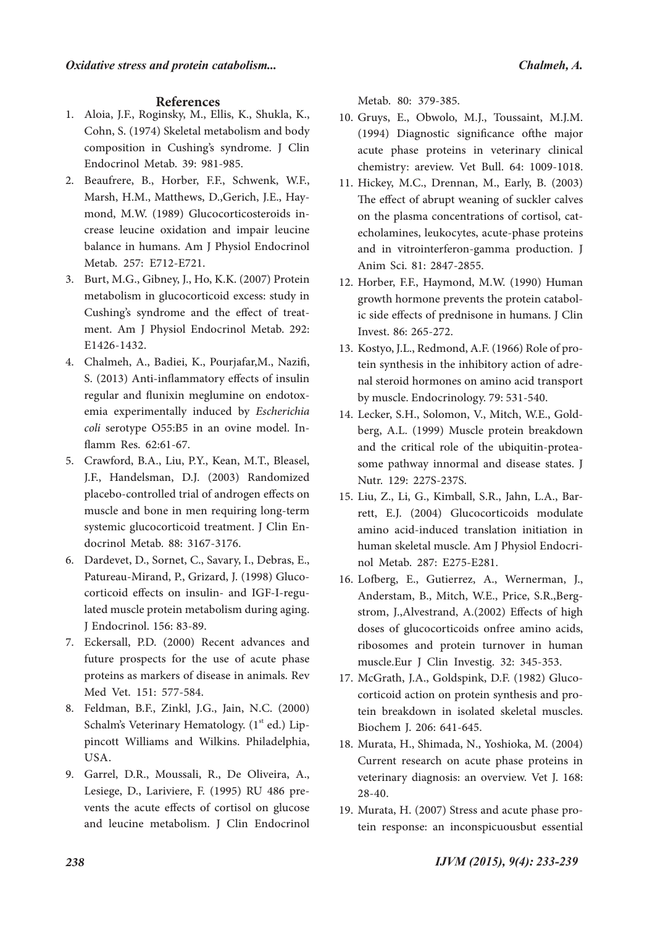- Aloia, J.F., Roginsky, M., Ellis, K., Shukla, K., 1. Cohn, S. (1974) Skeletal metabolism and body composition in Cushing's syndrome. J Clin Endocrinol Metab. 39: 981-985.
- Beaufrere, B., Horber, F.F., Schwenk, W.F., 2. Marsh, H.M., Matthews, D.,Gerich, J.E., Hay-<br>mond, M.W. (1989) Glucocorticosteroids in-<br>crease leucine oxidation and impair leucine balance in humans. Am J Physiol Endocrinol Metab. 257: E712-E721.
- Burt, M.G., Gibney, J., Ho, K.K. (2007) Protein 3. metabolism in glucocorticoid excess: study in Cushing's syndrome and the effect of treat- ment. Am J Physiol Endocrinol Metab. 292: E1426-1432.
- Chalmeh, A., Badiei, K., Pourjafar,M., Nazifi, 4. S. (2013) Anti-inflammatory effects of insulin regular and flunixin meglumine on endotox- emia experimentally induced by *Escherichia coli* serotype O55:B5 in an ovine model. In- flamm Res. 62:61-67.
- 5. Crawford, B.A., Liu, P.Y., Kean, M.T., Bleasel, J.F., Handelsman, D.J. (2003) Randomized placebo-controlled trial of androgen effects on muscle and bone in men requiring long-term systemic glucocorticoid treatment. J Clin En- docrinol Metab. 88: 3167-3176.
- Dardevet, D., Sornet, C., Savary, I., Debras, E., 6. Patureau-Mirand, P., Grizard, J. (1998) Glucocorticoid effects on insulin- and IGF-I-regulated muscle protein metabolism during aging. J Endocrinol. 156: 83-89.
- Eckersall, P.D. (2000) Recent advances and 7. future prospects for the use of acute phase proteins as markers of disease in animals. Rev Med Vet. 151: 577-584.
- Feldman, B.F., Zinkl, J.G., Jain, N.C. (2000) 8. Schalm's Veterinary Hematology. (1<sup>st</sup> ed.) Lip-<br>pincott Williams and Wilkins. Philadelphia, USA.
- Garrel, D.R., Moussali, R., De Oliveira, A., 9. Lesiege, D., Lariviere, F. (1995) RU 486 pre- vents the acute effects of cortisol on glucose and leucine metabolism. J Clin Endocrinol

**References** Metab. 80: 379-385.

- Gruys, E., Obwolo, M.J., Toussaint, M.J.M. 10. (1994) Diagnostic significance ofthe major acute phase proteins in veterinary clinical chemistry: areview. Vet Bull. 64: 1009-1018.
- 11. Hickey, M.C., Drennan, M., Early, B. (2003) The effect of abrupt weaning of suckler calves on the plasma concentrations of cortisol, cat- echolamines, leukocytes, acute-phase proteins and in vitrointerferon-gamma production. J Anim Sci. 81: 2847-2855.
- 12. Horber, F.F., Haymond, M.W. (1990) Human growth hormone prevents the protein catabol-<br>ic side effects of prednisone in humans. J Clin Invest. 86: 265-272.
- tein synthesis in the inhibitory action of adre-<br>nal steroid hormones on amino acid transport by muscle. Endocrinology. 79: 531-540. 13. Kostyo, J.L., Redmond, A.F. (1966) Role of pro-
- Lecker, S.H., Solomon, V., Mitch, W.E., Gold- berg, A.L. (1999) Muscle protein breakdown 14. and the critical role of the ubiquitin-protea- some pathway innormal and disease states. J Nutr. 129: 227S-237S.
- rett, E.J. (2004) Glucocorticoids modulate amino acid-induced translation initiation in human skeletal muscle. Am J Physiol Endocri- nol Metab. 287: E275-E281. 15. Liu, Z., Li, G., Kimball, S.R., Jahn, L.A., Bar-
- 16. Lofberg, E., Gutierrez, A., Wernerman, J., Anderstam, B., Mitch, W.E., Price, S.R.,Berg-<br>strom, J.,Alvestrand, A.(2002) Effects of high doses of glucocorticoids onfree amino acids, ribosomes and protein turnover in human muscle.Eur J Clin Investig. 32: 345-353.
- 17. McGrath, J.A., Goldspink, D.F. (1982) Gluco-<br>corticoid action on protein synthesis and pro-<br>tein breakdown in isolated skeletal muscles. Biochem J. 206: 641-645.
- Murata, H., Shimada, N., Yoshioka, M. (2004) 18. Current research on acute phase proteins in veterinary diagnosis: an overview. Vet J. 168: 28-40.
- Murata, H. (2007) Stress and acute phase pro- tein response: an inconspicuousbut essential 19.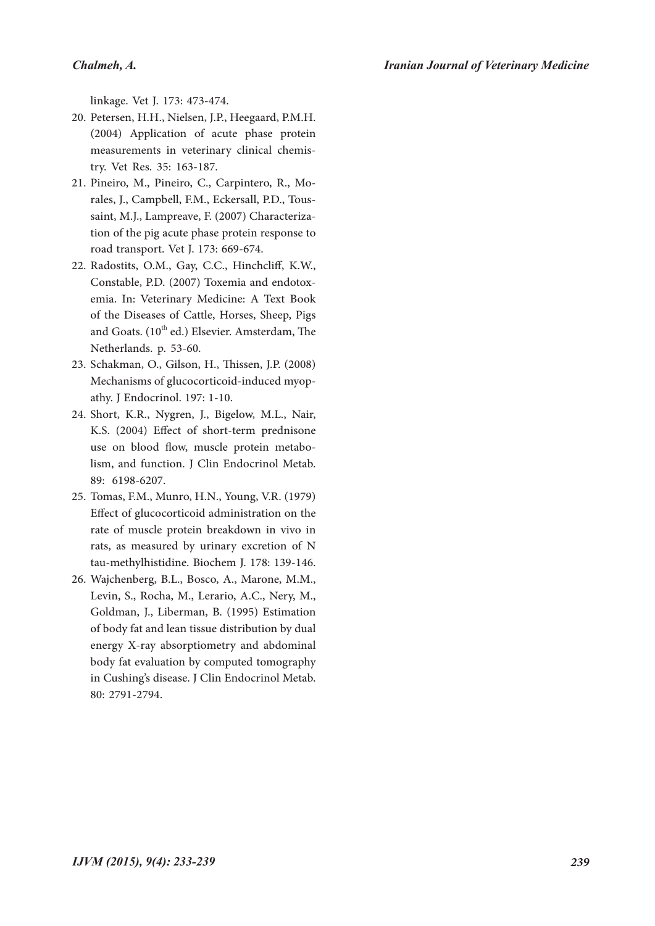linkage. Vet J. 173: 473-474.

- 20. Petersen, H.H., Nielsen, J.P., Heegaard, P.M.H. (2004) Application of acute phase protein measurements in veterinary clinical chemis - try. Vet Res. 35: 163-187.
- 21. Pineiro, M., Pineiro, C., Carpintero, R., Mo rales, J., Campbell, F.M., Eckersall, P.D., Tous-<br>saint, M.J., Lampreave, F. (2007) Characteriza-<br>tion of the pig acute phase protein response to road transport. Vet J. 173: 669-674.
- 22. Radostits, O.M., Gay, C.C., Hinchcliff, K.W., Constable, P.D. (2007) Toxemia and endotox - emia. In: Veterinary Medicine: A Text Book of the Diseases of Cattle, Horses, Sheep, Pigs and Goats. (10<sup>th</sup> ed.) Elsevier. Amsterdam, The Netherlands. p. 53-60.
- 23. Schakman, O., Gilson, H., Thissen, J.P. (2008) Mechanisms of glucocorticoid-induced myop - athy. J Endocrinol. 197: 1-10.
- 24. Short, K.R., Nygren, J., Bigelow, M.L., Nair, K.S. (2004) Effect of short-term prednisone use on blood flow, muscle protein metabo lism, and function. J Clin Endocrinol Metab. 89: 6198-6207.
- 25. Tomas, F.M., Munro, H.N., Young, V.R. (1979) Effect of glucocorticoid administration on the rate of muscle protein breakdown in vivo in rats, as measured by urinary excretion of N tau-methylhistidine. Biochem J. 178: 139-146.
- 26. Wajchenberg, B.L., Bosco, A., Marone, M.M., Levin, S., Rocha, M., Lerario, A.C., Nery, M., Goldman, J., Liberman, B. (1995) Estimation of body fat and lean tissue distribution by dual energy X-ray absorptiometry and abdominal body fat evaluation by computed tomography in Cushing's disease. J Clin Endocrinol Metab. 80: 2791-2794.